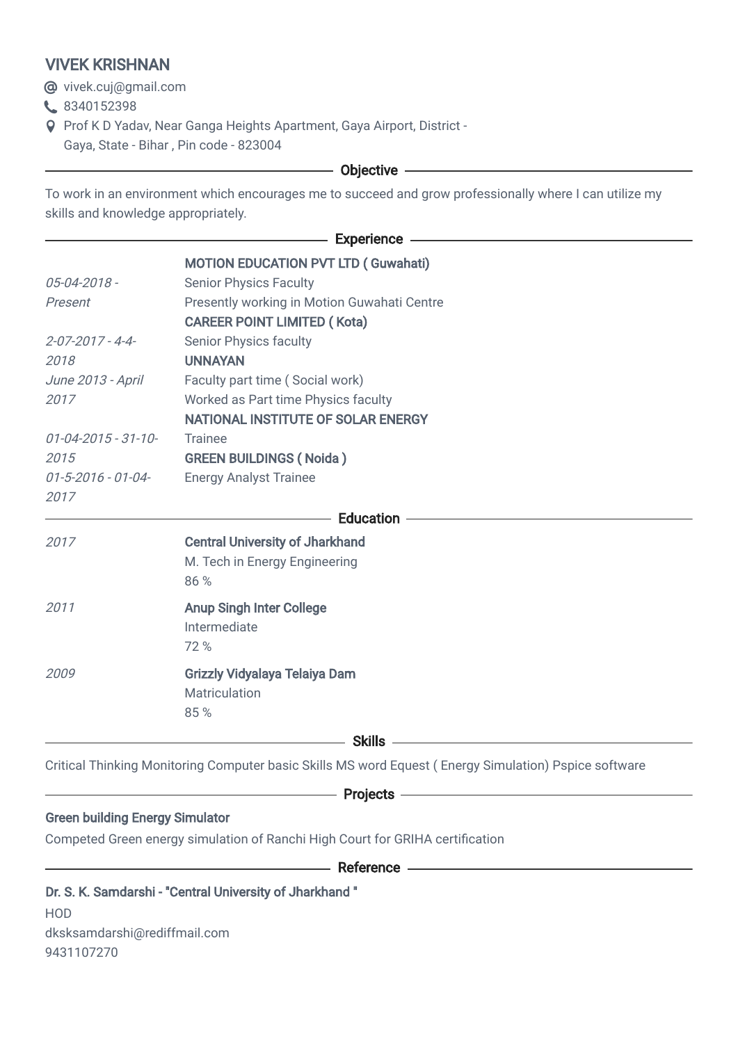## VIVEK KRISHNAN

**@** vivek.cuj@gmail.com

- 8340152398
- Prof K D Yadav, Near Ganga Heights Apartment, Gaya Airport, District Gaya, State - Bihar , Pin code - 823004

## - Objective -

To work in an environment which encourages me to succeed and grow professionally where I can utilize my skills and knowledge appropriately.

|                                        | <b>MOTION EDUCATION PVT LTD (Guwahati)</b>                                                            |
|----------------------------------------|-------------------------------------------------------------------------------------------------------|
| 05-04-2018 -                           | <b>Senior Physics Faculty</b>                                                                         |
| Present                                | Presently working in Motion Guwahati Centre                                                           |
|                                        | <b>CAREER POINT LIMITED (Kota)</b>                                                                    |
| $2 - 07 - 2017 - 4 - 4$                | <b>Senior Physics faculty</b>                                                                         |
| 2018                                   | <b>UNNAYAN</b>                                                                                        |
| June 2013 - April                      | Faculty part time (Social work)                                                                       |
| 2017                                   | Worked as Part time Physics faculty                                                                   |
|                                        | NATIONAL INSTITUTE OF SOLAR ENERGY                                                                    |
| $01 - 04 - 2015 - 31 - 10 -$           | <b>Trainee</b>                                                                                        |
| 2015                                   | <b>GREEN BUILDINGS (Noida)</b>                                                                        |
| $01 - 5 - 2016 - 01 - 04 -$            | <b>Energy Analyst Trainee</b>                                                                         |
| 2017                                   |                                                                                                       |
|                                        | <b>Education -</b>                                                                                    |
| 2017                                   | <b>Central University of Jharkhand</b>                                                                |
|                                        | M. Tech in Energy Engineering                                                                         |
|                                        | 86 %                                                                                                  |
| 2011                                   | <b>Anup Singh Inter College</b>                                                                       |
|                                        | Intermediate                                                                                          |
|                                        | 72%                                                                                                   |
| 2009                                   | <b>Grizzly Vidyalaya Telaiya Dam</b>                                                                  |
|                                        | Matriculation                                                                                         |
|                                        | 85%                                                                                                   |
|                                        | <u> 1989 - Johann Barn, fransk politik (</u>                                                          |
|                                        |                                                                                                       |
|                                        | Critical Thinking Monitoring Computer basic Skills MS word Equest (Energy Simulation) Pspice software |
|                                        | $-$ Projects $-$                                                                                      |
| <b>Green building Energy Simulator</b> |                                                                                                       |
|                                        | Competed Green energy simulation of Ranchi High Court for GRIHA certification                         |
|                                        |                                                                                                       |

—— Reference —————

## Dr. S. K. Samdarshi - "Central University of Jharkhand "

HOD dksksamdarshi@rediffmail.com 9431107270